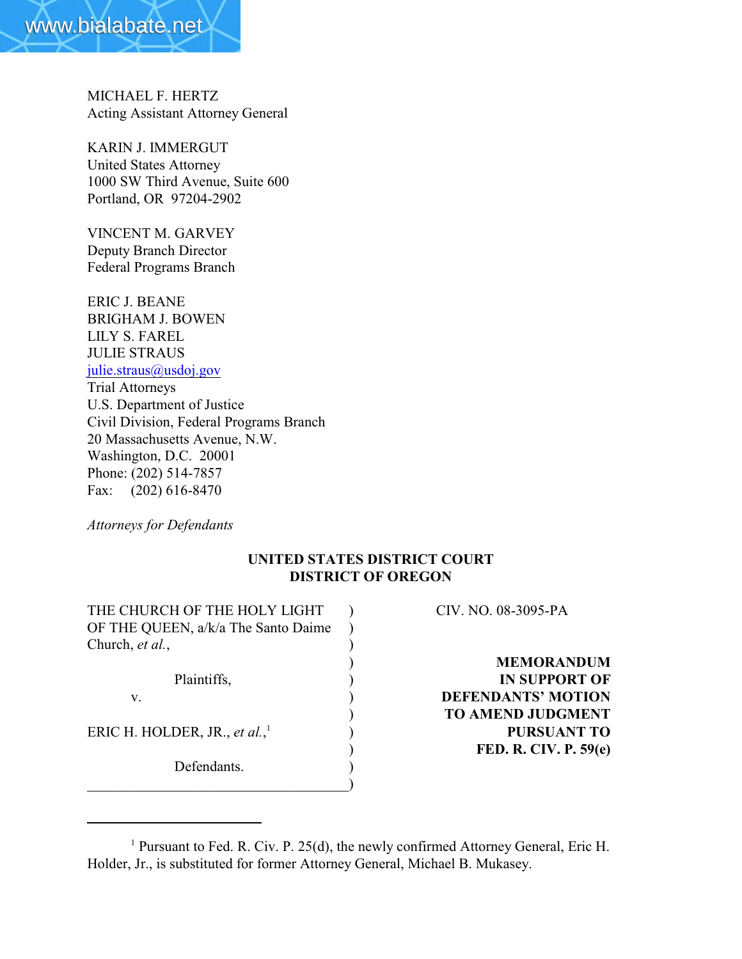

MICHAEL F. HERTZ Acting Assistant Attorney General

KARIN J. IMMERGUT United States Attorney 1000 SW Third Avenue, Suite 600 Portland, OR 97204-2902

VINCENT M. GARVEY Deputy Branch Director Federal Programs Branch

ERIC J. BEANE BRIGHAM J. BOWEN LILY S. FAREL JULIE STRAUS [julie.straus@usdoj.gov](mailto:julie.straus@usdoj.gov) Trial Attorneys U.S. Department of Justice Civil Division, Federal Programs Branch 20 Massachusetts Avenue, N.W. Washington, D.C. 20001 Phone: (202) 514-7857 Fax: (202) 616-8470

*Attorneys for Defendants*

# **UNITED STATES DISTRICT COURT DISTRICT OF OREGON**

| THE CHURCH OF THE HOLY LIGHT              | CIV. NO. 08-3095-PA          |
|-------------------------------------------|------------------------------|
| OF THE QUEEN, a/k/a The Santo Daime       |                              |
| Church, et al.,                           |                              |
|                                           | <b>MEMORANDUM</b>            |
| Plaintiffs,                               | <b>IN SUPPORT OF</b>         |
| v.                                        | <b>DEFENDANTS' MOTION</b>    |
|                                           | <b>TO AMEND JUDGMENT</b>     |
| ERIC H. HOLDER, JR., et al., <sup>1</sup> | <b>PURSUANT TO</b>           |
|                                           | <b>FED. R. CIV. P. 59(e)</b> |
| Defendants.                               |                              |
|                                           |                              |

<sup>&</sup>lt;sup>1</sup> Pursuant to Fed. R. Civ. P. 25(d), the newly confirmed Attorney General, Eric H. Holder, Jr., is substituted for former Attorney General, Michael B. Mukasey.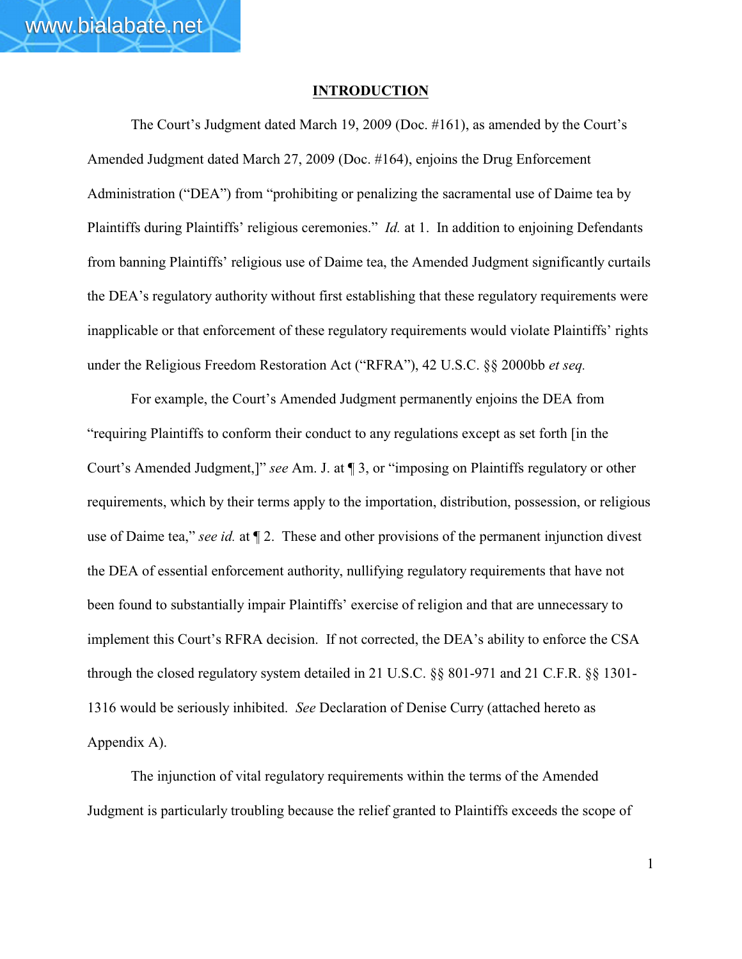www.bialabate.net

The Court's Judgment dated March 19, 2009 (Doc. #161), as amended by the Court's Amended Judgment dated March 27, 2009 (Doc. #164), enjoins the Drug Enforcement Administration ("DEA") from "prohibiting or penalizing the sacramental use of Daime tea by Plaintiffs during Plaintiffs' religious ceremonies." *Id.* at 1. In addition to enjoining Defendants from banning Plaintiffs' religious use of Daime tea, the Amended Judgment significantly curtails the DEA's regulatory authority without first establishing that these regulatory requirements were inapplicable or that enforcement of these regulatory requirements would violate Plaintiffs' rights under the Religious Freedom Restoration Act ("RFRA"), 42 U.S.C. §§ 2000bb *et seq.*

For example, the Court's Amended Judgment permanently enjoins the DEA from "requiring Plaintiffs to conform their conduct to any regulations except as set forth [in the Court's Amended Judgment,]" *see* Am. J. at ¶ 3, or "imposing on Plaintiffs regulatory or other requirements, which by their terms apply to the importation, distribution, possession, or religious use of Daime tea," *see id.* at ¶ 2. These and other provisions of the permanent injunction divest the DEA of essential enforcement authority, nullifying regulatory requirements that have not been found to substantially impair Plaintiffs' exercise of religion and that are unnecessary to implement this Court's RFRA decision. If not corrected, the DEA's ability to enforce the CSA through the closed regulatory system detailed in 21 U.S.C. §§ 801-971 and 21 C.F.R. §§ 1301- 1316 would be seriously inhibited. *See* Declaration of Denise Curry (attached hereto as Appendix A).

The injunction of vital regulatory requirements within the terms of the Amended Judgment is particularly troubling because the relief granted to Plaintiffs exceeds the scope of

1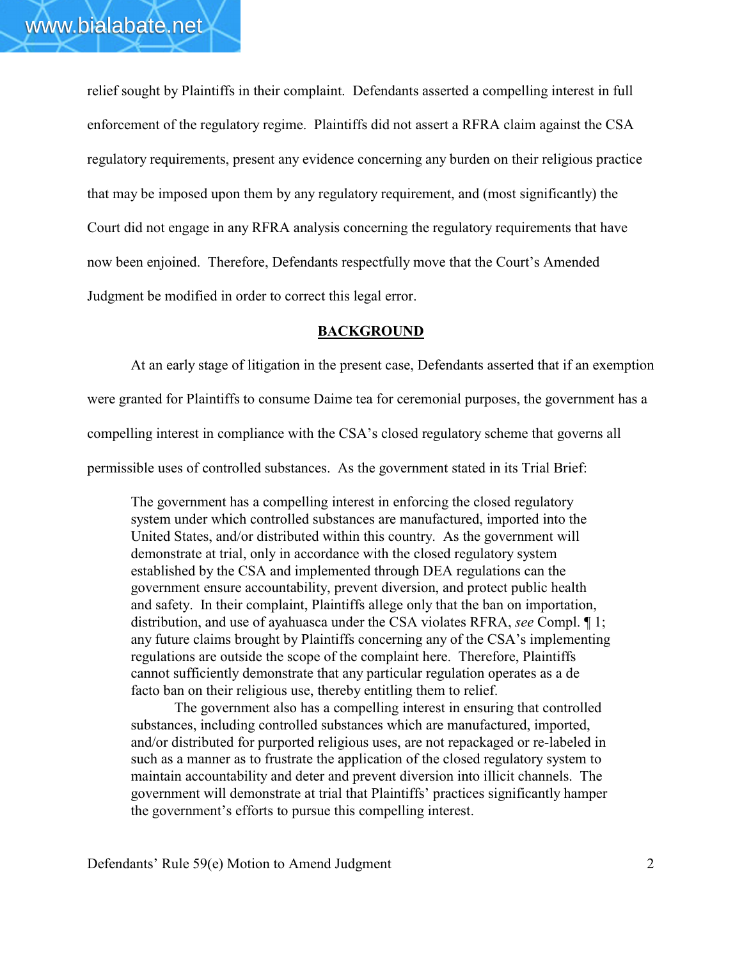relief sought by Plaintiffs in their complaint. Defendants asserted a compelling interest in full enforcement of the regulatory regime. Plaintiffs did not assert a RFRA claim against the CSA regulatory requirements, present any evidence concerning any burden on their religious practice that may be imposed upon them by any regulatory requirement, and (most significantly) the Court did not engage in any RFRA analysis concerning the regulatory requirements that have now been enjoined. Therefore, Defendants respectfully move that the Court's Amended Judgment be modified in order to correct this legal error.

### **BACKGROUND**

At an early stage of litigation in the present case, Defendants asserted that if an exemption were granted for Plaintiffs to consume Daime tea for ceremonial purposes, the government has a compelling interest in compliance with the CSA's closed regulatory scheme that governs all permissible uses of controlled substances. As the government stated in its Trial Brief:

The government has a compelling interest in enforcing the closed regulatory system under which controlled substances are manufactured, imported into the United States, and/or distributed within this country. As the government will demonstrate at trial, only in accordance with the closed regulatory system established by the CSA and implemented through DEA regulations can the government ensure accountability, prevent diversion, and protect public health and safety. In their complaint, Plaintiffs allege only that the ban on importation, distribution, and use of ayahuasca under the CSA violates RFRA, *see* Compl. ¶ 1; any future claims brought by Plaintiffs concerning any of the CSA's implementing regulations are outside the scope of the complaint here. Therefore, Plaintiffs cannot sufficiently demonstrate that any particular regulation operates as a de facto ban on their religious use, thereby entitling them to relief.

The government also has a compelling interest in ensuring that controlled substances, including controlled substances which are manufactured, imported, and/or distributed for purported religious uses, are not repackaged or re-labeled in such as a manner as to frustrate the application of the closed regulatory system to maintain accountability and deter and prevent diversion into illicit channels. The government will demonstrate at trial that Plaintiffs' practices significantly hamper the government's efforts to pursue this compelling interest.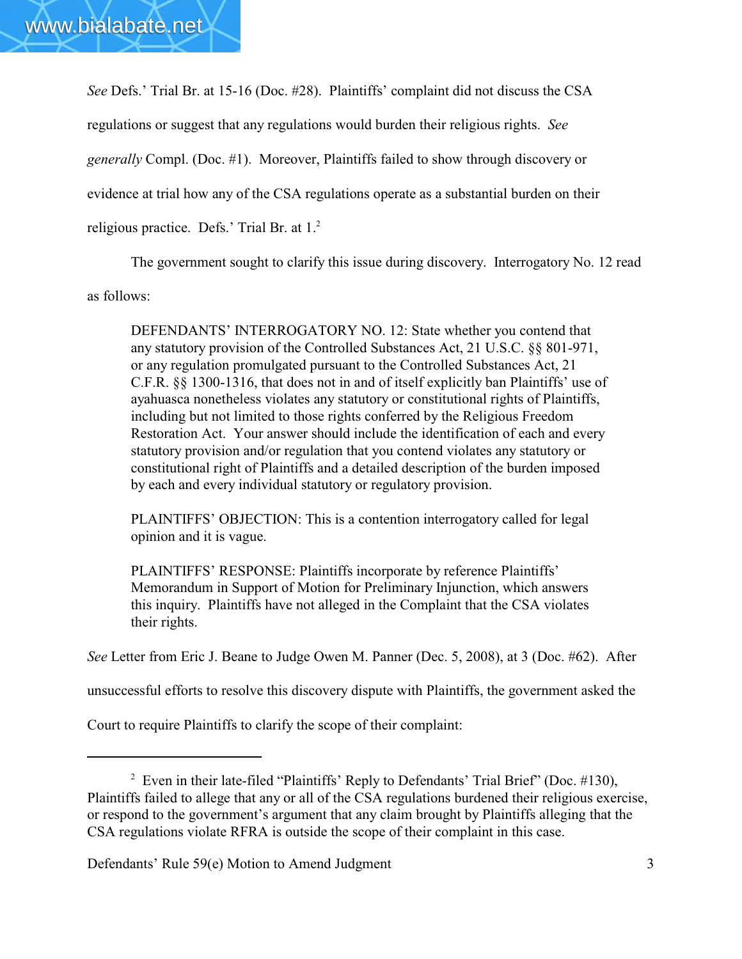*See* Defs.' Trial Br. at 15-16 (Doc. #28). Plaintiffs' complaint did not discuss the CSA regulations or suggest that any regulations would burden their religious rights. *See generally* Compl. (Doc. #1). Moreover, Plaintiffs failed to show through discovery or evidence at trial how any of the CSA regulations operate as a substantial burden on their religious practice. Defs.' Trial Br. at 1.<sup>2</sup>

The government sought to clarify this issue during discovery. Interrogatory No. 12 read

as follows:

DEFENDANTS' INTERROGATORY NO. 12: State whether you contend that any statutory provision of the Controlled Substances Act, 21 U.S.C. §§ 801-971, or any regulation promulgated pursuant to the Controlled Substances Act, 21 C.F.R. §§ 1300-1316, that does not in and of itself explicitly ban Plaintiffs' use of ayahuasca nonetheless violates any statutory or constitutional rights of Plaintiffs, including but not limited to those rights conferred by the Religious Freedom Restoration Act. Your answer should include the identification of each and every statutory provision and/or regulation that you contend violates any statutory or constitutional right of Plaintiffs and a detailed description of the burden imposed by each and every individual statutory or regulatory provision.

PLAINTIFFS' OBJECTION: This is a contention interrogatory called for legal opinion and it is vague.

PLAINTIFFS' RESPONSE: Plaintiffs incorporate by reference Plaintiffs' Memorandum in Support of Motion for Preliminary Injunction, which answers this inquiry. Plaintiffs have not alleged in the Complaint that the CSA violates their rights.

*See* Letter from Eric J. Beane to Judge Owen M. Panner (Dec. 5, 2008), at 3 (Doc. #62). After

unsuccessful efforts to resolve this discovery dispute with Plaintiffs, the government asked the

Court to require Plaintiffs to clarify the scope of their complaint:

<sup>&</sup>lt;sup>2</sup> Even in their late-filed "Plaintiffs' Reply to Defendants' Trial Brief" (Doc. #130), Plaintiffs failed to allege that any or all of the CSA regulations burdened their religious exercise, or respond to the government's argument that any claim brought by Plaintiffs alleging that the CSA regulations violate RFRA is outside the scope of their complaint in this case.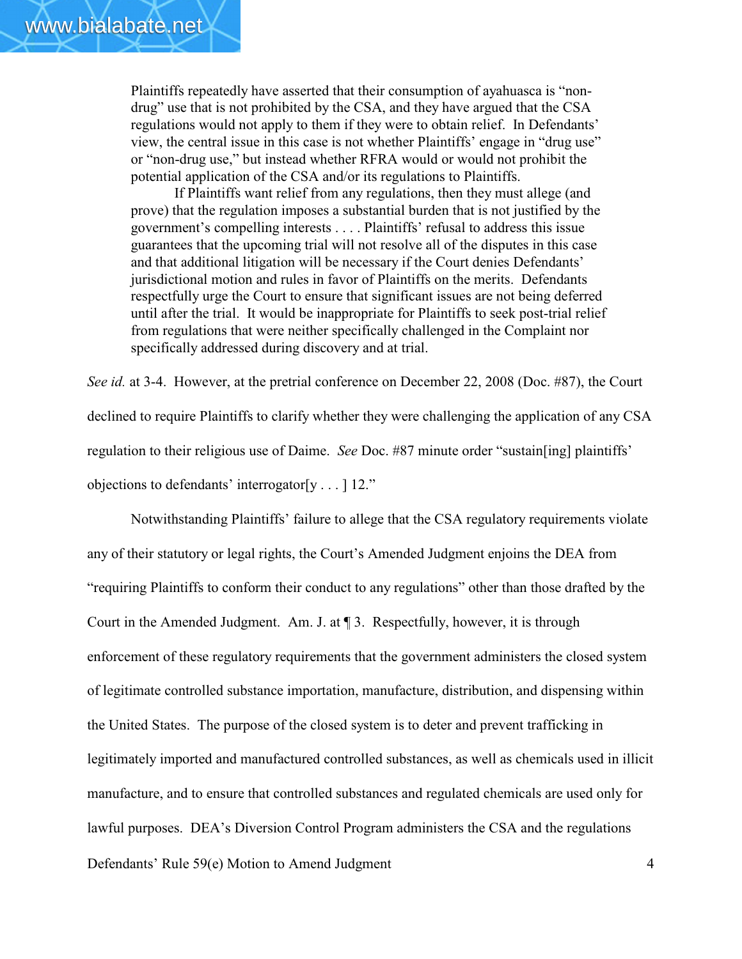Plaintiffs repeatedly have asserted that their consumption of ayahuasca is "nondrug" use that is not prohibited by the CSA, and they have argued that the CSA regulations would not apply to them if they were to obtain relief. In Defendants' view, the central issue in this case is not whether Plaintiffs' engage in "drug use" or "non-drug use," but instead whether RFRA would or would not prohibit the potential application of the CSA and/or its regulations to Plaintiffs.

If Plaintiffs want relief from any regulations, then they must allege (and prove) that the regulation imposes a substantial burden that is not justified by the government's compelling interests . . . . Plaintiffs' refusal to address this issue guarantees that the upcoming trial will not resolve all of the disputes in this case and that additional litigation will be necessary if the Court denies Defendants' jurisdictional motion and rules in favor of Plaintiffs on the merits. Defendants respectfully urge the Court to ensure that significant issues are not being deferred until after the trial. It would be inappropriate for Plaintiffs to seek post-trial relief from regulations that were neither specifically challenged in the Complaint nor specifically addressed during discovery and at trial.

*See id.* at 3-4. However, at the pretrial conference on December 22, 2008 (Doc. #87), the Court declined to require Plaintiffs to clarify whether they were challenging the application of any CSA regulation to their religious use of Daime. *See* Doc. #87 minute order "sustain[ing] plaintiffs' objections to defendants' interrogator[y . . . ] 12."

Defendants' Rule 59(e) Motion to Amend Judgment 4 Notwithstanding Plaintiffs' failure to allege that the CSA regulatory requirements violate any of their statutory or legal rights, the Court's Amended Judgment enjoins the DEA from "requiring Plaintiffs to conform their conduct to any regulations" other than those drafted by the Court in the Amended Judgment. Am. J. at ¶ 3. Respectfully, however, it is through enforcement of these regulatory requirements that the government administers the closed system of legitimate controlled substance importation, manufacture, distribution, and dispensing within the United States. The purpose of the closed system is to deter and prevent trafficking in legitimately imported and manufactured controlled substances, as well as chemicals used in illicit manufacture, and to ensure that controlled substances and regulated chemicals are used only for lawful purposes. DEA's Diversion Control Program administers the CSA and the regulations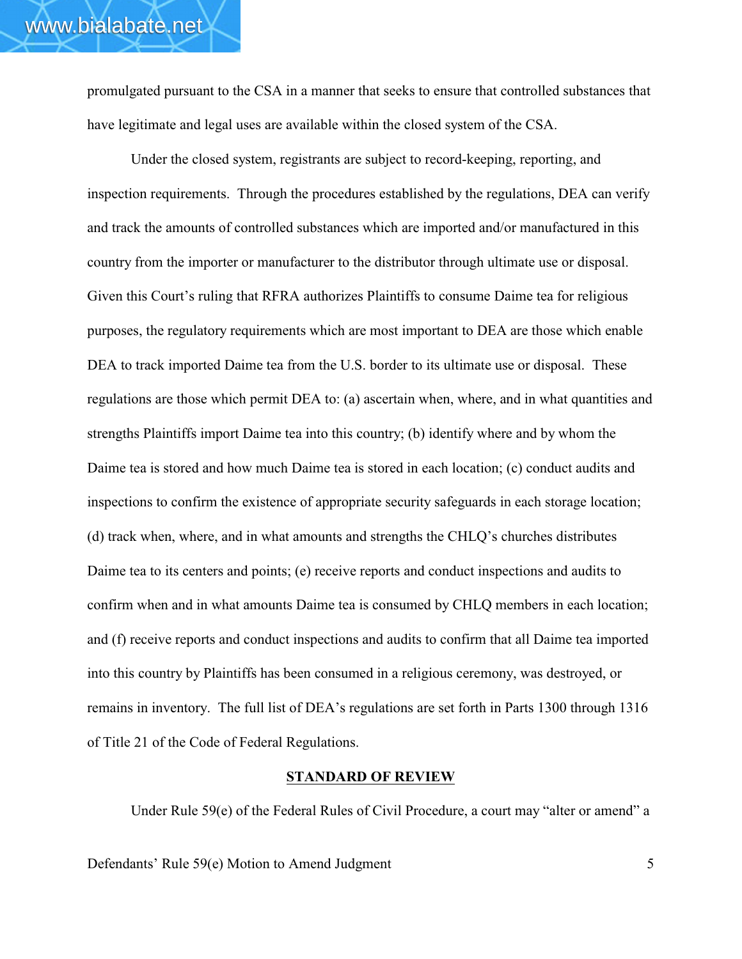promulgated pursuant to the CSA in a manner that seeks to ensure that controlled substances that have legitimate and legal uses are available within the closed system of the CSA.

Under the closed system, registrants are subject to record-keeping, reporting, and inspection requirements. Through the procedures established by the regulations, DEA can verify and track the amounts of controlled substances which are imported and/or manufactured in this country from the importer or manufacturer to the distributor through ultimate use or disposal. Given this Court's ruling that RFRA authorizes Plaintiffs to consume Daime tea for religious purposes, the regulatory requirements which are most important to DEA are those which enable DEA to track imported Daime tea from the U.S. border to its ultimate use or disposal. These regulations are those which permit DEA to: (a) ascertain when, where, and in what quantities and strengths Plaintiffs import Daime tea into this country; (b) identify where and by whom the Daime tea is stored and how much Daime tea is stored in each location; (c) conduct audits and inspections to confirm the existence of appropriate security safeguards in each storage location; (d) track when, where, and in what amounts and strengths the CHLQ's churches distributes Daime tea to its centers and points; (e) receive reports and conduct inspections and audits to confirm when and in what amounts Daime tea is consumed by CHLQ members in each location; and (f) receive reports and conduct inspections and audits to confirm that all Daime tea imported into this country by Plaintiffs has been consumed in a religious ceremony, was destroyed, or remains in inventory. The full list of DEA's regulations are set forth in Parts 1300 through 1316 of Title 21 of the Code of Federal Regulations.

## **STANDARD OF REVIEW**

Under Rule 59(e) of the Federal Rules of Civil Procedure, a court may "alter or amend" a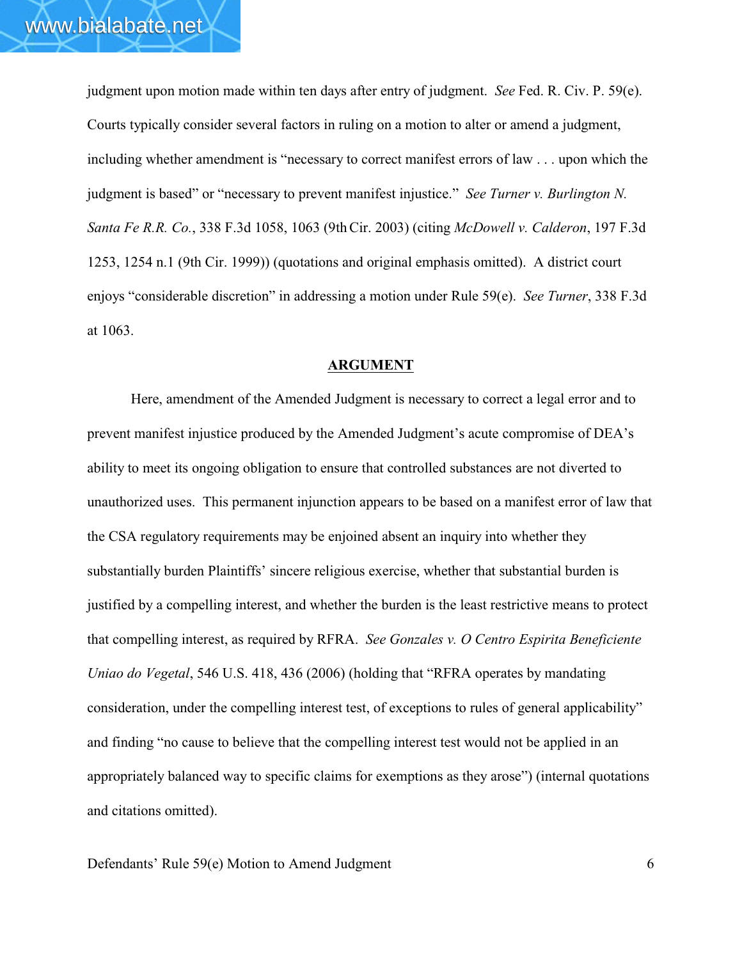judgment upon motion made within ten days after entry of judgment. *See* Fed. R. Civ. P. 59(e). Courts typically consider several factors in ruling on a motion to alter or amend a judgment, including whether amendment is "necessary to correct manifest errors of law . . . upon which the judgment is based" or "necessary to prevent manifest injustice." *See Turner v. Burlington N. Santa Fe R.R. Co.*, 338 F.3d 1058, 1063 (9thCir. 2003) (citing *McDowell v. Calderon*, 197 F.3d 1253, 1254 n.1 (9th Cir. 1999)) (quotations and original emphasis omitted). A district court enjoys "considerable discretion" in addressing a motion under Rule 59(e). *See Turner*, 338 F.3d at 1063.

#### **ARGUMENT**

Here, amendment of the Amended Judgment is necessary to correct a legal error and to prevent manifest injustice produced by the Amended Judgment's acute compromise of DEA's ability to meet its ongoing obligation to ensure that controlled substances are not diverted to unauthorized uses. This permanent injunction appears to be based on a manifest error of law that the CSA regulatory requirements may be enjoined absent an inquiry into whether they substantially burden Plaintiffs' sincere religious exercise, whether that substantial burden is justified by a compelling interest, and whether the burden is the least restrictive means to protect that compelling interest, as required by RFRA. *See Gonzales v. O Centro Espirita Beneficiente Uniao do Vegetal*, 546 U.S. 418, 436 (2006) (holding that "RFRA operates by mandating consideration, under the compelling interest test, of exceptions to rules of general applicability" and finding "no cause to believe that the compelling interest test would not be applied in an appropriately balanced way to specific claims for exemptions as they arose") (internal quotations and citations omitted).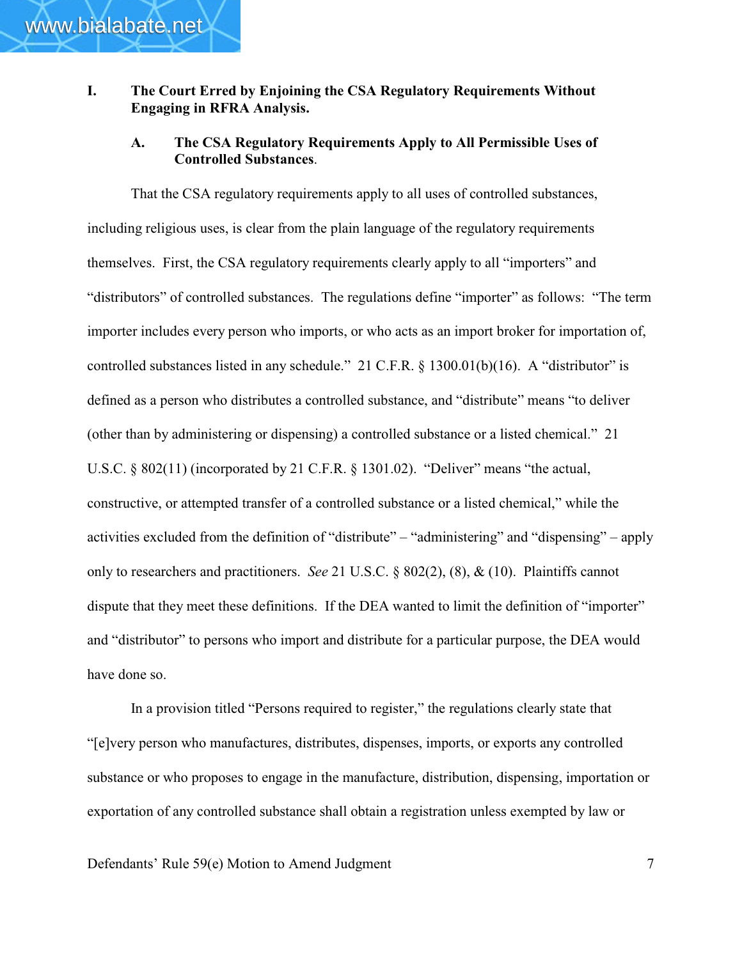# **I. The Court Erred by Enjoining the CSA Regulatory Requirements Without Engaging in RFRA Analysis.**

# **A. The CSA Regulatory Requirements Apply to All Permissible Uses of Controlled Substances**.

That the CSA regulatory requirements apply to all uses of controlled substances, including religious uses, is clear from the plain language of the regulatory requirements themselves. First, the CSA regulatory requirements clearly apply to all "importers" and "distributors" of controlled substances. The regulations define "importer" as follows: "The term importer includes every person who imports, or who acts as an import broker for importation of, controlled substances listed in any schedule." 21 C.F.R. § 1300.01(b)(16). A "distributor" is defined as a person who distributes a controlled substance, and "distribute" means "to deliver (other than by administering or dispensing) a controlled substance or a listed chemical." 21 U.S.C. § 802(11) (incorporated by 21 C.F.R. § 1301.02). "Deliver" means "the actual, constructive, or attempted transfer of a controlled substance or a listed chemical," while the activities excluded from the definition of "distribute" – "administering" and "dispensing" – apply only to researchers and practitioners. *See* 21 U.S.C. § 802(2), (8), & (10). Plaintiffs cannot dispute that they meet these definitions. If the DEA wanted to limit the definition of "importer" and "distributor" to persons who import and distribute for a particular purpose, the DEA would have done so.

In a provision titled "Persons required to register," the regulations clearly state that "[e]very person who manufactures, distributes, dispenses, imports, or exports any controlled substance or who proposes to engage in the manufacture, distribution, dispensing, importation or exportation of any controlled substance shall obtain a registration unless exempted by law or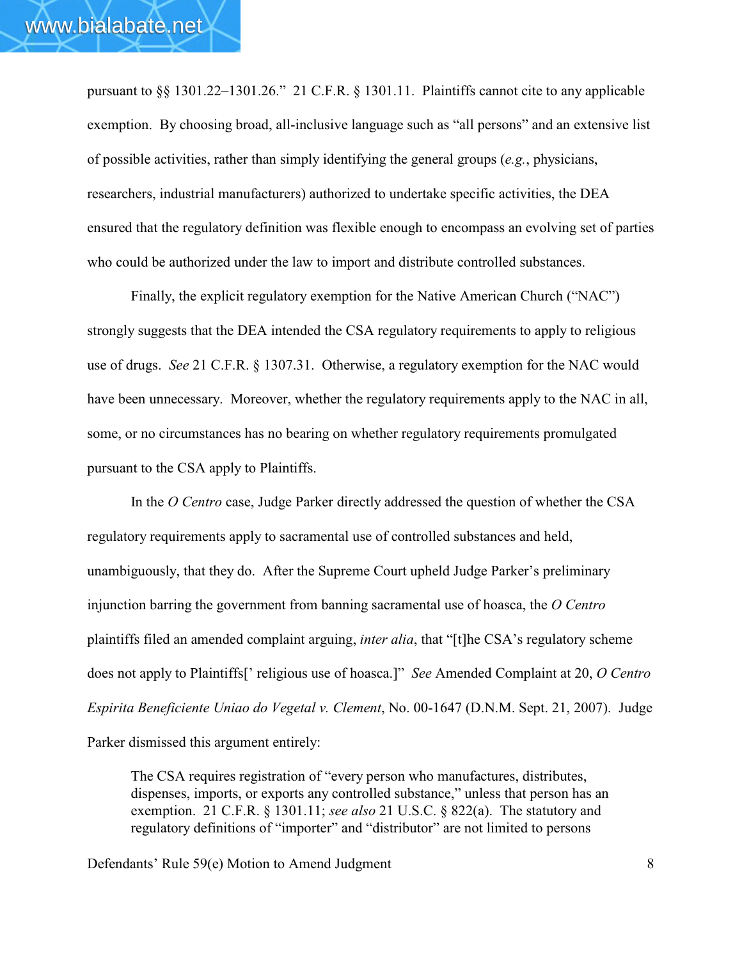pursuant to §§ 1301.22–1301.26." 21 C.F.R. § 1301.11. Plaintiffs cannot cite to any applicable exemption. By choosing broad, all-inclusive language such as "all persons" and an extensive list of possible activities, rather than simply identifying the general groups (*e.g.*, physicians, researchers, industrial manufacturers) authorized to undertake specific activities, the DEA ensured that the regulatory definition was flexible enough to encompass an evolving set of parties who could be authorized under the law to import and distribute controlled substances.

Finally, the explicit regulatory exemption for the Native American Church ("NAC") strongly suggests that the DEA intended the CSA regulatory requirements to apply to religious use of drugs. *See* 21 C.F.R. § 1307.31. Otherwise, a regulatory exemption for the NAC would have been unnecessary. Moreover, whether the regulatory requirements apply to the NAC in all, some, or no circumstances has no bearing on whether regulatory requirements promulgated pursuant to the CSA apply to Plaintiffs.

In the *O Centro* case, Judge Parker directly addressed the question of whether the CSA regulatory requirements apply to sacramental use of controlled substances and held, unambiguously, that they do. After the Supreme Court upheld Judge Parker's preliminary injunction barring the government from banning sacramental use of hoasca, the *O Centro* plaintiffs filed an amended complaint arguing, *inter alia*, that "[t]he CSA's regulatory scheme does not apply to Plaintiffs[' religious use of hoasca.]" *See* Amended Complaint at 20, *O Centro Espirita Beneficiente Uniao do Vegetal v. Clement*, No. 00-1647 (D.N.M. Sept. 21, 2007). Judge Parker dismissed this argument entirely:

The CSA requires registration of "every person who manufactures, distributes, dispenses, imports, or exports any controlled substance," unless that person has an exemption. 21 C.F.R. § 1301.11; *see also* 21 U.S.C. § 822(a). The statutory and regulatory definitions of "importer" and "distributor" are not limited to persons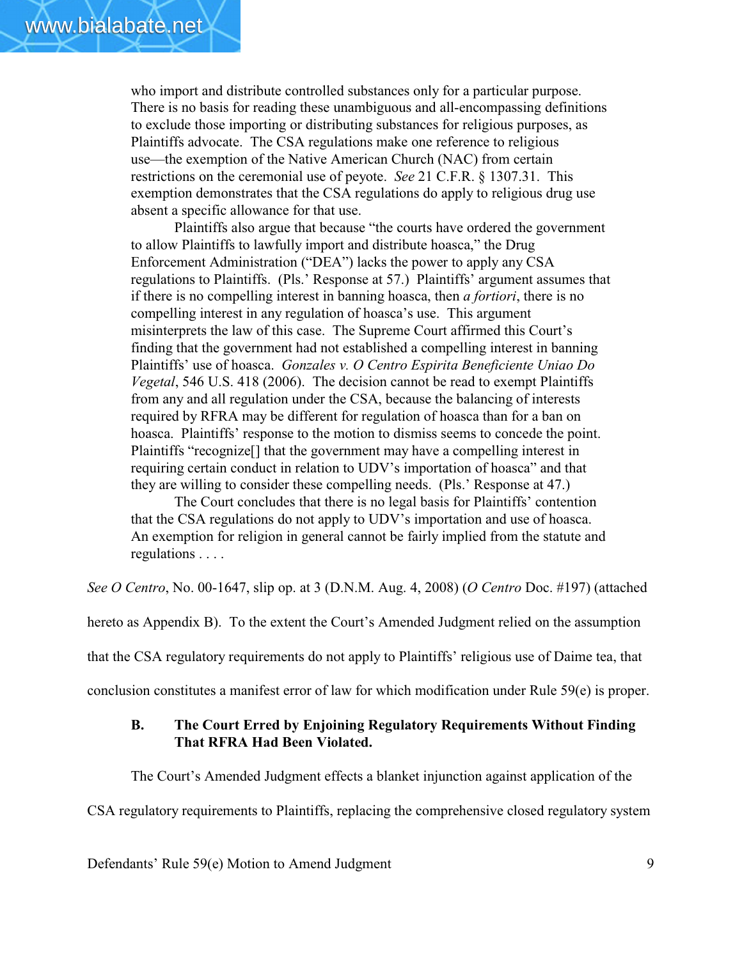who import and distribute controlled substances only for a particular purpose. There is no basis for reading these unambiguous and all-encompassing definitions to exclude those importing or distributing substances for religious purposes, as Plaintiffs advocate. The CSA regulations make one reference to religious use—the exemption of the Native American Church (NAC) from certain restrictions on the ceremonial use of peyote. *See* 21 C.F.R. § 1307.31. This exemption demonstrates that the CSA regulations do apply to religious drug use absent a specific allowance for that use.

Plaintiffs also argue that because "the courts have ordered the government to allow Plaintiffs to lawfully import and distribute hoasca," the Drug Enforcement Administration ("DEA") lacks the power to apply any CSA regulations to Plaintiffs. (Pls.' Response at 57.) Plaintiffs' argument assumes that if there is no compelling interest in banning hoasca, then *a fortiori*, there is no compelling interest in any regulation of hoasca's use. This argument misinterprets the law of this case. The Supreme Court affirmed this Court's finding that the government had not established a compelling interest in banning Plaintiffs' use of hoasca. *Gonzales v. O Centro Espirita Beneficiente Uniao Do Vegetal*, 546 U.S. 418 (2006). The decision cannot be read to exempt Plaintiffs from any and all regulation under the CSA, because the balancing of interests required by RFRA may be different for regulation of hoasca than for a ban on hoasca. Plaintiffs' response to the motion to dismiss seems to concede the point. Plaintiffs "recognize[] that the government may have a compelling interest in requiring certain conduct in relation to UDV's importation of hoasca" and that they are willing to consider these compelling needs. (Pls.' Response at 47.)

The Court concludes that there is no legal basis for Plaintiffs' contention that the CSA regulations do not apply to UDV's importation and use of hoasca. An exemption for religion in general cannot be fairly implied from the statute and regulations . . . .

*See O Centro*, No. 00-1647, slip op. at 3 (D.N.M. Aug. 4, 2008) (*O Centro* Doc. #197) (attached

hereto as Appendix B). To the extent the Court's Amended Judgment relied on the assumption

that the CSA regulatory requirements do not apply to Plaintiffs' religious use of Daime tea, that

conclusion constitutes a manifest error of law for which modification under Rule 59(e) is proper.

## **B. The Court Erred by Enjoining Regulatory Requirements Without Finding That RFRA Had Been Violated.**

The Court's Amended Judgment effects a blanket injunction against application of the

CSA regulatory requirements to Plaintiffs, replacing the comprehensive closed regulatory system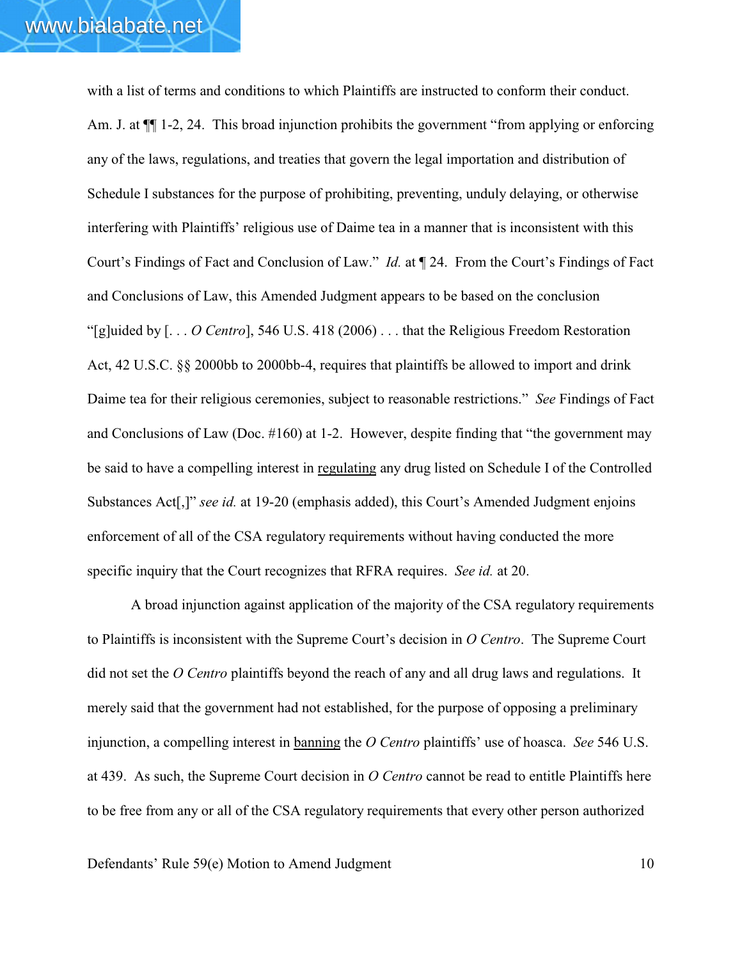with a list of terms and conditions to which Plaintiffs are instructed to conform their conduct. Am. J. at  $\P$  1-2, 24. This broad injunction prohibits the government "from applying or enforcing any of the laws, regulations, and treaties that govern the legal importation and distribution of Schedule I substances for the purpose of prohibiting, preventing, unduly delaying, or otherwise interfering with Plaintiffs' religious use of Daime tea in a manner that is inconsistent with this Court's Findings of Fact and Conclusion of Law." *Id.* at ¶ 24. From the Court's Findings of Fact and Conclusions of Law, this Amended Judgment appears to be based on the conclusion "[g]uided by [. . . *O Centro*], 546 U.S. 418 (2006) . . . that the Religious Freedom Restoration Act, 42 U.S.C. §§ 2000bb to 2000bb-4, requires that plaintiffs be allowed to import and drink Daime tea for their religious ceremonies, subject to reasonable restrictions." *See* Findings of Fact and Conclusions of Law (Doc. #160) at 1-2. However, despite finding that "the government may be said to have a compelling interest in regulating any drug listed on Schedule I of the Controlled Substances Act<sup>[</sup>,]" *see id.* at 19-20 (emphasis added), this Court's Amended Judgment enjoins enforcement of all of the CSA regulatory requirements without having conducted the more specific inquiry that the Court recognizes that RFRA requires. *See id.* at 20.

A broad injunction against application of the majority of the CSA regulatory requirements to Plaintiffs is inconsistent with the Supreme Court's decision in *O Centro*. The Supreme Court did not set the *O Centro* plaintiffs beyond the reach of any and all drug laws and regulations. It merely said that the government had not established, for the purpose of opposing a preliminary injunction, a compelling interest in banning the *O Centro* plaintiffs' use of hoasca. *See* 546 U.S. at 439. As such, the Supreme Court decision in *O Centro* cannot be read to entitle Plaintiffs here to be free from any or all of the CSA regulatory requirements that every other person authorized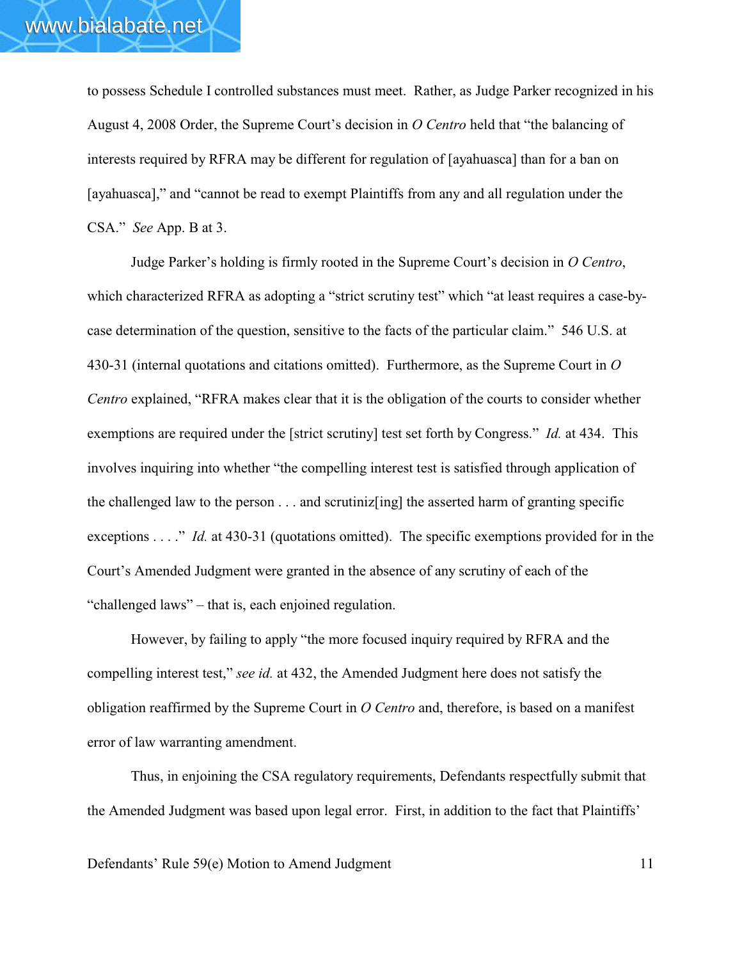to possess Schedule I controlled substances must meet. Rather, as Judge Parker recognized in his August 4, 2008 Order, the Supreme Court's decision in *O Centro* held that "the balancing of interests required by RFRA may be different for regulation of [ayahuasca] than for a ban on [ayahuasca]," and "cannot be read to exempt Plaintiffs from any and all regulation under the CSA." *See* App. B at 3.

Judge Parker's holding is firmly rooted in the Supreme Court's decision in *O Centro*, which characterized RFRA as adopting a "strict scrutiny test" which "at least requires a case-bycase determination of the question, sensitive to the facts of the particular claim." 546 U.S. at 430-31 (internal quotations and citations omitted). Furthermore, as the Supreme Court in *O Centro* explained, "RFRA makes clear that it is the obligation of the courts to consider whether exemptions are required under the [strict scrutiny] test set forth by Congress." *Id.* at 434. This involves inquiring into whether "the compelling interest test is satisfied through application of the challenged law to the person . . . and scrutiniz[ing] the asserted harm of granting specific exceptions . . . ." *Id.* at 430-31 (quotations omitted). The specific exemptions provided for in the Court's Amended Judgment were granted in the absence of any scrutiny of each of the "challenged laws" – that is, each enjoined regulation.

However, by failing to apply "the more focused inquiry required by RFRA and the compelling interest test," *see id.* at 432, the Amended Judgment here does not satisfy the obligation reaffirmed by the Supreme Court in *O Centro* and, therefore, is based on a manifest error of law warranting amendment.

Thus, in enjoining the CSA regulatory requirements, Defendants respectfully submit that the Amended Judgment was based upon legal error. First, in addition to the fact that Plaintiffs'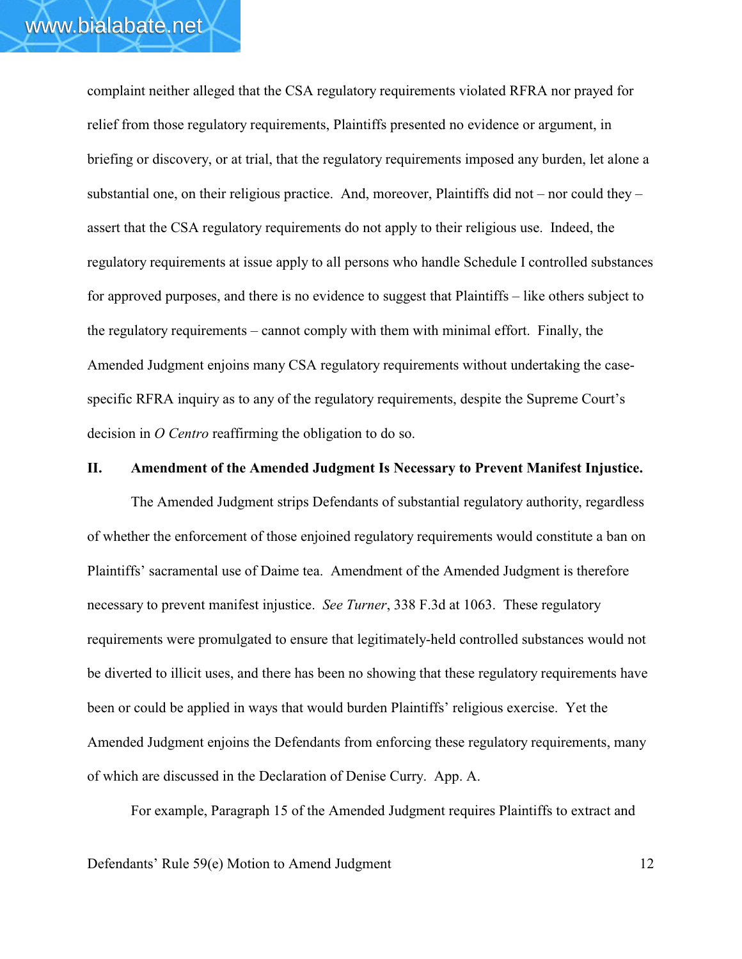complaint neither alleged that the CSA regulatory requirements violated RFRA nor prayed for relief from those regulatory requirements, Plaintiffs presented no evidence or argument, in briefing or discovery, or at trial, that the regulatory requirements imposed any burden, let alone a substantial one, on their religious practice. And, moreover, Plaintiffs did not – nor could they – assert that the CSA regulatory requirements do not apply to their religious use. Indeed, the regulatory requirements at issue apply to all persons who handle Schedule I controlled substances for approved purposes, and there is no evidence to suggest that Plaintiffs – like others subject to the regulatory requirements – cannot comply with them with minimal effort. Finally, the Amended Judgment enjoins many CSA regulatory requirements without undertaking the casespecific RFRA inquiry as to any of the regulatory requirements, despite the Supreme Court's decision in *O Centro* reaffirming the obligation to do so.

## **II. Amendment of the Amended Judgment Is Necessary to Prevent Manifest Injustice.**

The Amended Judgment strips Defendants of substantial regulatory authority, regardless of whether the enforcement of those enjoined regulatory requirements would constitute a ban on Plaintiffs' sacramental use of Daime tea. Amendment of the Amended Judgment is therefore necessary to prevent manifest injustice. *See Turner*, 338 F.3d at 1063. These regulatory requirements were promulgated to ensure that legitimately-held controlled substances would not be diverted to illicit uses, and there has been no showing that these regulatory requirements have been or could be applied in ways that would burden Plaintiffs' religious exercise. Yet the Amended Judgment enjoins the Defendants from enforcing these regulatory requirements, many of which are discussed in the Declaration of Denise Curry. App. A.

For example, Paragraph 15 of the Amended Judgment requires Plaintiffs to extract and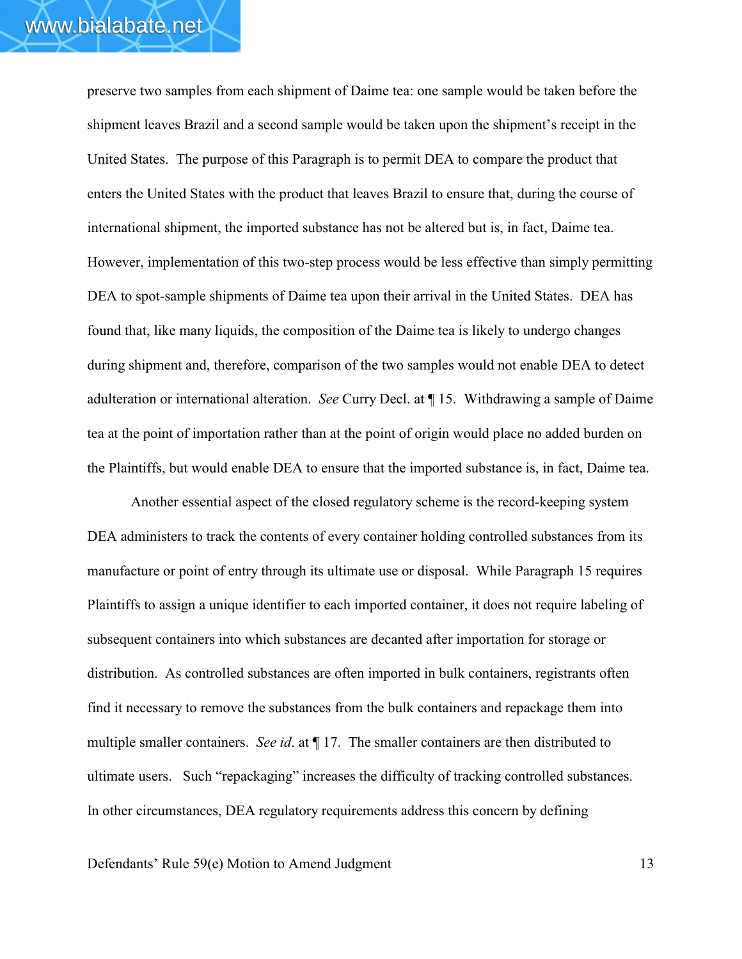preserve two samples from each shipment of Daime tea: one sample would be taken before the shipment leaves Brazil and a second sample would be taken upon the shipment's receipt in the United States. The purpose of this Paragraph is to permit DEA to compare the product that enters the United States with the product that leaves Brazil to ensure that, during the course of international shipment, the imported substance has not be altered but is, in fact, Daime tea. However, implementation of this two-step process would be less effective than simply permitting DEA to spot-sample shipments of Daime tea upon their arrival in the United States. DEA has found that, like many liquids, the composition of the Daime tea is likely to undergo changes during shipment and, therefore, comparison of the two samples would not enable DEA to detect adulteration or international alteration. *See* Curry Decl. at ¶ 15. Withdrawing a sample of Daime tea at the point of importation rather than at the point of origin would place no added burden on the Plaintiffs, but would enable DEA to ensure that the imported substance is, in fact, Daime tea.

Another essential aspect of the closed regulatory scheme is the record-keeping system DEA administers to track the contents of every container holding controlled substances from its manufacture or point of entry through its ultimate use or disposal. While Paragraph 15 requires Plaintiffs to assign a unique identifier to each imported container, it does not require labeling of subsequent containers into which substances are decanted after importation for storage or distribution. As controlled substances are often imported in bulk containers, registrants often find it necessary to remove the substances from the bulk containers and repackage them into multiple smaller containers. *See id*. at ¶ 17. The smaller containers are then distributed to ultimate users. Such "repackaging" increases the difficulty of tracking controlled substances. In other circumstances, DEA regulatory requirements address this concern by defining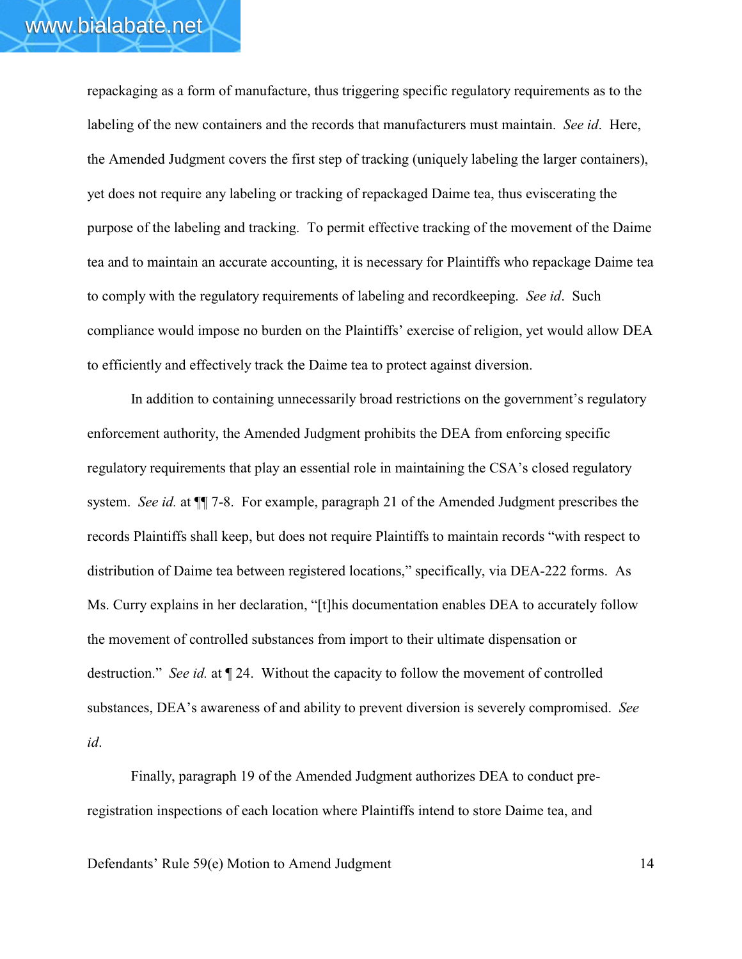repackaging as a form of manufacture, thus triggering specific regulatory requirements as to the labeling of the new containers and the records that manufacturers must maintain. *See id*. Here, the Amended Judgment covers the first step of tracking (uniquely labeling the larger containers), yet does not require any labeling or tracking of repackaged Daime tea, thus eviscerating the purpose of the labeling and tracking. To permit effective tracking of the movement of the Daime tea and to maintain an accurate accounting, it is necessary for Plaintiffs who repackage Daime tea to comply with the regulatory requirements of labeling and recordkeeping. *See id*. Such compliance would impose no burden on the Plaintiffs' exercise of religion, yet would allow DEA to efficiently and effectively track the Daime tea to protect against diversion.

In addition to containing unnecessarily broad restrictions on the government's regulatory enforcement authority, the Amended Judgment prohibits the DEA from enforcing specific regulatory requirements that play an essential role in maintaining the CSA's closed regulatory system. *See id.* at ¶¶ 7-8. For example, paragraph 21 of the Amended Judgment prescribes the records Plaintiffs shall keep, but does not require Plaintiffs to maintain records "with respect to distribution of Daime tea between registered locations," specifically, via DEA-222 forms. As Ms. Curry explains in her declaration, "[t]his documentation enables DEA to accurately follow the movement of controlled substances from import to their ultimate dispensation or destruction." *See id.* at ¶ 24. Without the capacity to follow the movement of controlled substances, DEA's awareness of and ability to prevent diversion is severely compromised. *See id*.

Finally, paragraph 19 of the Amended Judgment authorizes DEA to conduct preregistration inspections of each location where Plaintiffs intend to store Daime tea, and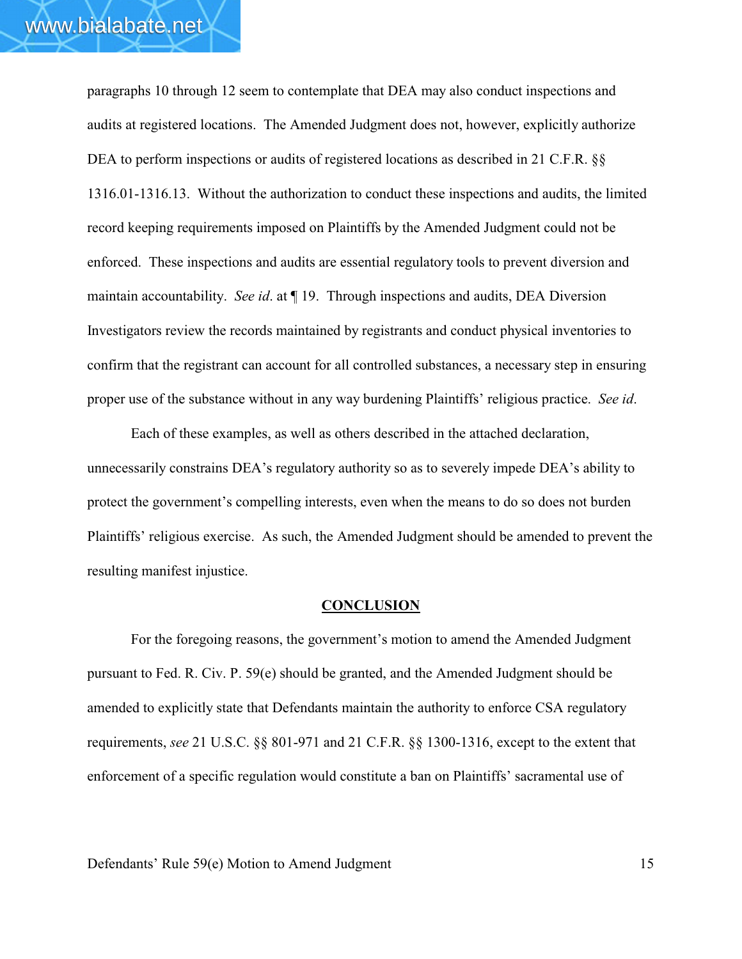paragraphs 10 through 12 seem to contemplate that DEA may also conduct inspections and audits at registered locations. The Amended Judgment does not, however, explicitly authorize DEA to perform inspections or audits of registered locations as described in 21 C.F.R. §§ 1316.01-1316.13. Without the authorization to conduct these inspections and audits, the limited record keeping requirements imposed on Plaintiffs by the Amended Judgment could not be enforced. These inspections and audits are essential regulatory tools to prevent diversion and maintain accountability. *See id*. at ¶ 19. Through inspections and audits, DEA Diversion Investigators review the records maintained by registrants and conduct physical inventories to confirm that the registrant can account for all controlled substances, a necessary step in ensuring proper use of the substance without in any way burdening Plaintiffs' religious practice. *See id*.

Each of these examples, as well as others described in the attached declaration, unnecessarily constrains DEA's regulatory authority so as to severely impede DEA's ability to protect the government's compelling interests, even when the means to do so does not burden Plaintiffs' religious exercise. As such, the Amended Judgment should be amended to prevent the resulting manifest injustice.

### **CONCLUSION**

For the foregoing reasons, the government's motion to amend the Amended Judgment pursuant to Fed. R. Civ. P. 59(e) should be granted, and the Amended Judgment should be amended to explicitly state that Defendants maintain the authority to enforce CSA regulatory requirements, *see* 21 U.S.C. §§ 801-971 and 21 C.F.R. §§ 1300-1316, except to the extent that enforcement of a specific regulation would constitute a ban on Plaintiffs' sacramental use of